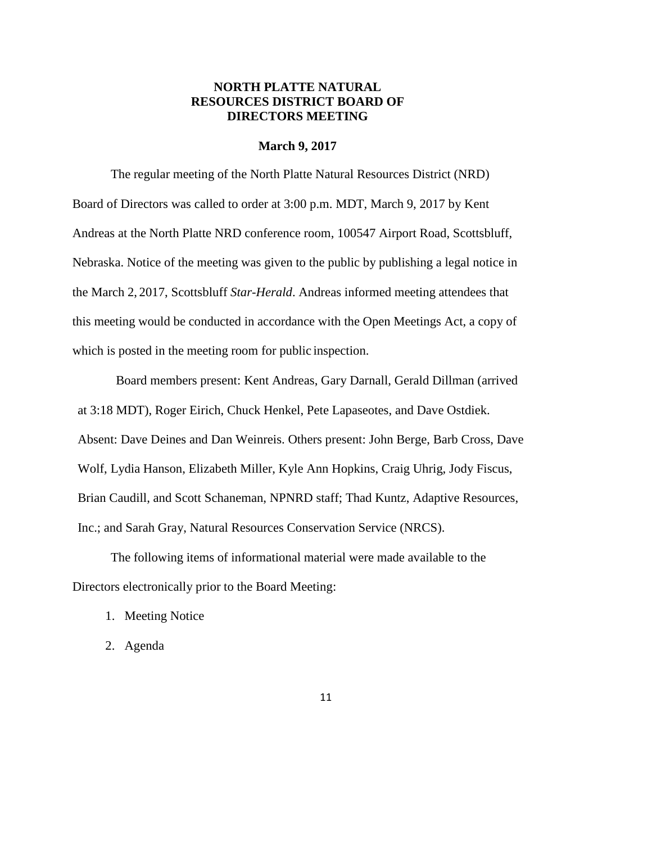# **NORTH PLATTE NATURAL RESOURCES DISTRICT BOARD OF DIRECTORS MEETING**

### **March 9, 2017**

The regular meeting of the North Platte Natural Resources District (NRD) Board of Directors was called to order at 3:00 p.m. MDT, March 9, 2017 by Kent Andreas at the North Platte NRD conference room, 100547 Airport Road, Scottsbluff, Nebraska. Notice of the meeting was given to the public by publishing a legal notice in the March 2, 2017, Scottsbluff *Star-Herald*. Andreas informed meeting attendees that this meeting would be conducted in accordance with the Open Meetings Act, a copy of which is posted in the meeting room for public inspection.

Board members present: Kent Andreas, Gary Darnall, Gerald Dillman (arrived at 3:18 MDT), Roger Eirich, Chuck Henkel, Pete Lapaseotes, and Dave Ostdiek. Absent: Dave Deines and Dan Weinreis. Others present: John Berge, Barb Cross, Dave Wolf, Lydia Hanson, Elizabeth Miller, Kyle Ann Hopkins, Craig Uhrig, Jody Fiscus, Brian Caudill, and Scott Schaneman, NPNRD staff; Thad Kuntz, Adaptive Resources, Inc.; and Sarah Gray, Natural Resources Conservation Service (NRCS).

The following items of informational material were made available to the Directors electronically prior to the Board Meeting:

- 1. Meeting Notice
- 2. Agenda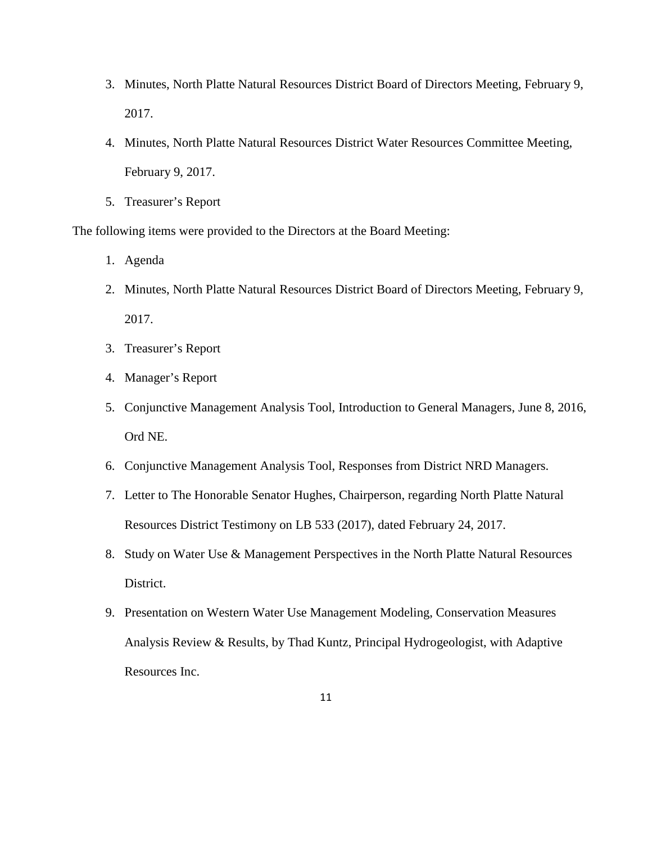- 3. Minutes, North Platte Natural Resources District Board of Directors Meeting, February 9, 2017.
- 4. Minutes, North Platte Natural Resources District Water Resources Committee Meeting, February 9, 2017.
- 5. Treasurer's Report

The following items were provided to the Directors at the Board Meeting:

- 1. Agenda
- 2. Minutes, North Platte Natural Resources District Board of Directors Meeting, February 9, 2017.
- 3. Treasurer's Report
- 4. Manager's Report
- 5. Conjunctive Management Analysis Tool, Introduction to General Managers, June 8, 2016, Ord NE.
- 6. Conjunctive Management Analysis Tool, Responses from District NRD Managers.
- 7. Letter to The Honorable Senator Hughes, Chairperson, regarding North Platte Natural Resources District Testimony on LB 533 (2017), dated February 24, 2017.
- 8. Study on Water Use & Management Perspectives in the North Platte Natural Resources District.
- 9. Presentation on Western Water Use Management Modeling, Conservation Measures Analysis Review & Results, by Thad Kuntz, Principal Hydrogeologist, with Adaptive Resources Inc.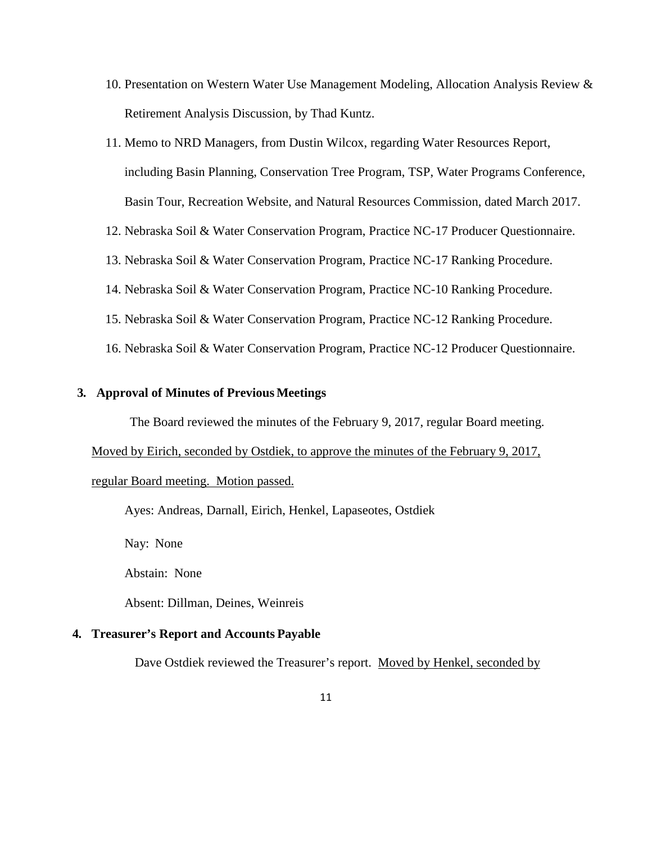- 10. Presentation on Western Water Use Management Modeling, Allocation Analysis Review & Retirement Analysis Discussion, by Thad Kuntz.
- 11. Memo to NRD Managers, from Dustin Wilcox, regarding Water Resources Report, including Basin Planning, Conservation Tree Program, TSP, Water Programs Conference, Basin Tour, Recreation Website, and Natural Resources Commission, dated March 2017.
- 12. Nebraska Soil & Water Conservation Program, Practice NC-17 Producer Questionnaire.
- 13. Nebraska Soil & Water Conservation Program, Practice NC-17 Ranking Procedure.
- 14. Nebraska Soil & Water Conservation Program, Practice NC-10 Ranking Procedure.
- 15. Nebraska Soil & Water Conservation Program, Practice NC-12 Ranking Procedure.
- 16. Nebraska Soil & Water Conservation Program, Practice NC-12 Producer Questionnaire.

# **3. Approval of Minutes of Previous Meetings**

The Board reviewed the minutes of the February 9, 2017, regular Board meeting.

Moved by Eirich, seconded by Ostdiek, to approve the minutes of the February 9, 2017,

#### regular Board meeting. Motion passed.

Ayes: Andreas, Darnall, Eirich, Henkel, Lapaseotes, Ostdiek

Nay: None

Abstain: None

Absent: Dillman, Deines, Weinreis

### **4. Treasurer's Report and Accounts Payable**

Dave Ostdiek reviewed the Treasurer's report. Moved by Henkel, seconded by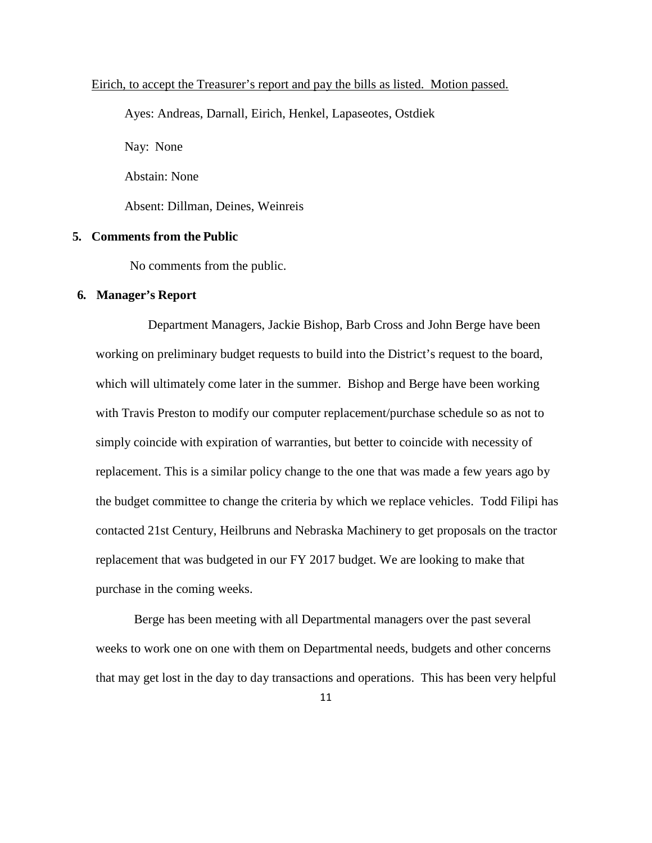### Eirich, to accept the Treasurer's report and pay the bills as listed. Motion passed.

Ayes: Andreas, Darnall, Eirich, Henkel, Lapaseotes, Ostdiek

Nay: None

Abstain: None

Absent: Dillman, Deines, Weinreis

# **5. Comments from the Public**

No comments from the public.

### **6. Manager's Report**

Department Managers, Jackie Bishop, Barb Cross and John Berge have been working on preliminary budget requests to build into the District's request to the board, which will ultimately come later in the summer. Bishop and Berge have been working with Travis Preston to modify our computer replacement/purchase schedule so as not to simply coincide with expiration of warranties, but better to coincide with necessity of replacement. This is a similar policy change to the one that was made a few years ago by the budget committee to change the criteria by which we replace vehicles. Todd Filipi has contacted 21st Century, Heilbruns and Nebraska Machinery to get proposals on the tractor replacement that was budgeted in our FY 2017 budget. We are looking to make that purchase in the coming weeks.

Berge has been meeting with all Departmental managers over the past several weeks to work one on one with them on Departmental needs, budgets and other concerns that may get lost in the day to day transactions and operations. This has been very helpful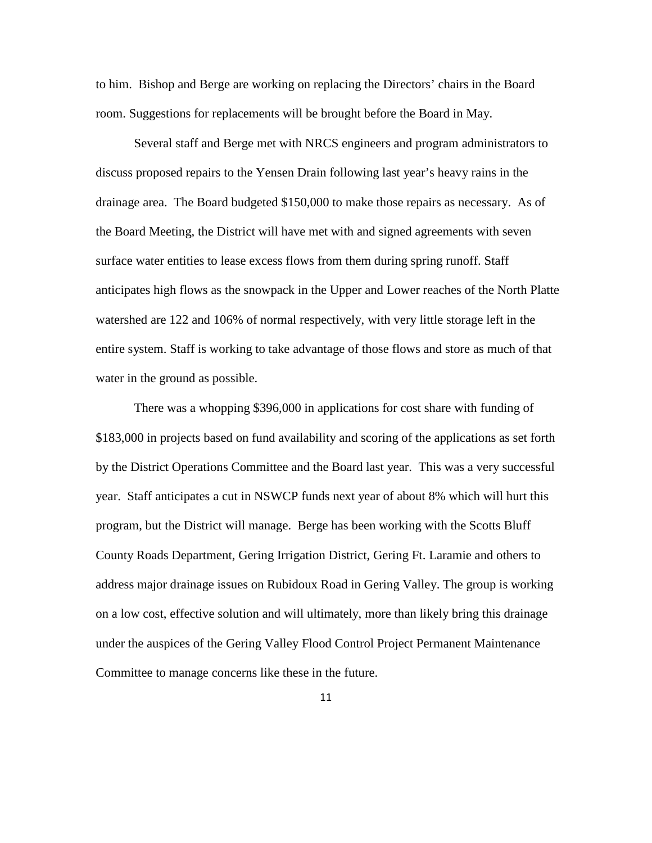to him. Bishop and Berge are working on replacing the Directors' chairs in the Board room. Suggestions for replacements will be brought before the Board in May.

Several staff and Berge met with NRCS engineers and program administrators to discuss proposed repairs to the Yensen Drain following last year's heavy rains in the drainage area. The Board budgeted \$150,000 to make those repairs as necessary. As of the Board Meeting, the District will have met with and signed agreements with seven surface water entities to lease excess flows from them during spring runoff. Staff anticipates high flows as the snowpack in the Upper and Lower reaches of the North Platte watershed are 122 and 106% of normal respectively, with very little storage left in the entire system. Staff is working to take advantage of those flows and store as much of that water in the ground as possible.

There was a whopping \$396,000 in applications for cost share with funding of \$183,000 in projects based on fund availability and scoring of the applications as set forth by the District Operations Committee and the Board last year. This was a very successful year. Staff anticipates a cut in NSWCP funds next year of about 8% which will hurt this program, but the District will manage. Berge has been working with the Scotts Bluff County Roads Department, Gering Irrigation District, Gering Ft. Laramie and others to address major drainage issues on Rubidoux Road in Gering Valley. The group is working on a low cost, effective solution and will ultimately, more than likely bring this drainage under the auspices of the Gering Valley Flood Control Project Permanent Maintenance Committee to manage concerns like these in the future.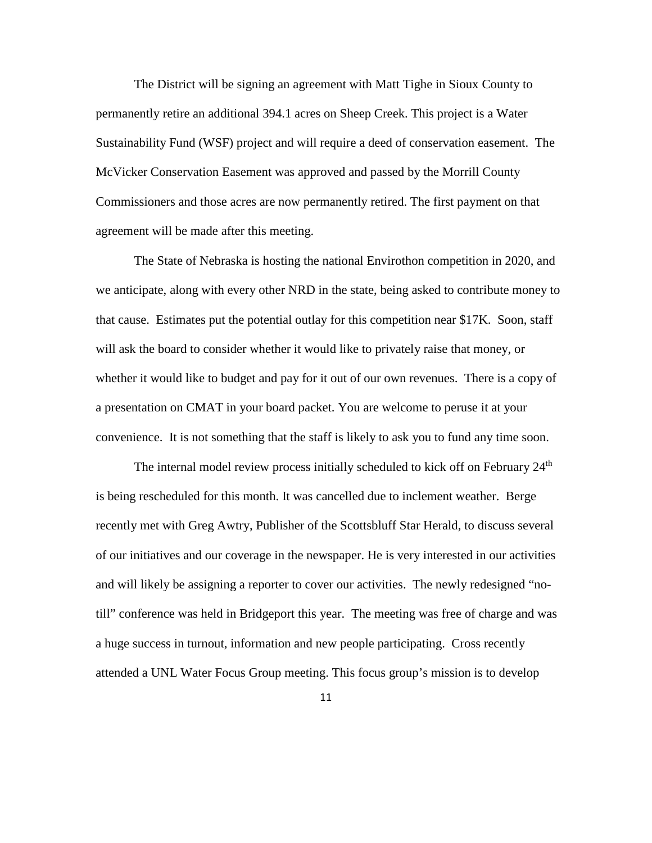The District will be signing an agreement with Matt Tighe in Sioux County to permanently retire an additional 394.1 acres on Sheep Creek. This project is a Water Sustainability Fund (WSF) project and will require a deed of conservation easement. The McVicker Conservation Easement was approved and passed by the Morrill County Commissioners and those acres are now permanently retired. The first payment on that agreement will be made after this meeting.

The State of Nebraska is hosting the national Envirothon competition in 2020, and we anticipate, along with every other NRD in the state, being asked to contribute money to that cause. Estimates put the potential outlay for this competition near \$17K. Soon, staff will ask the board to consider whether it would like to privately raise that money, or whether it would like to budget and pay for it out of our own revenues. There is a copy of a presentation on CMAT in your board packet. You are welcome to peruse it at your convenience. It is not something that the staff is likely to ask you to fund any time soon.

The internal model review process initially scheduled to kick off on February 24<sup>th</sup> is being rescheduled for this month. It was cancelled due to inclement weather. Berge recently met with Greg Awtry, Publisher of the Scottsbluff Star Herald, to discuss several of our initiatives and our coverage in the newspaper. He is very interested in our activities and will likely be assigning a reporter to cover our activities. The newly redesigned "notill" conference was held in Bridgeport this year. The meeting was free of charge and was a huge success in turnout, information and new people participating. Cross recently attended a UNL Water Focus Group meeting. This focus group's mission is to develop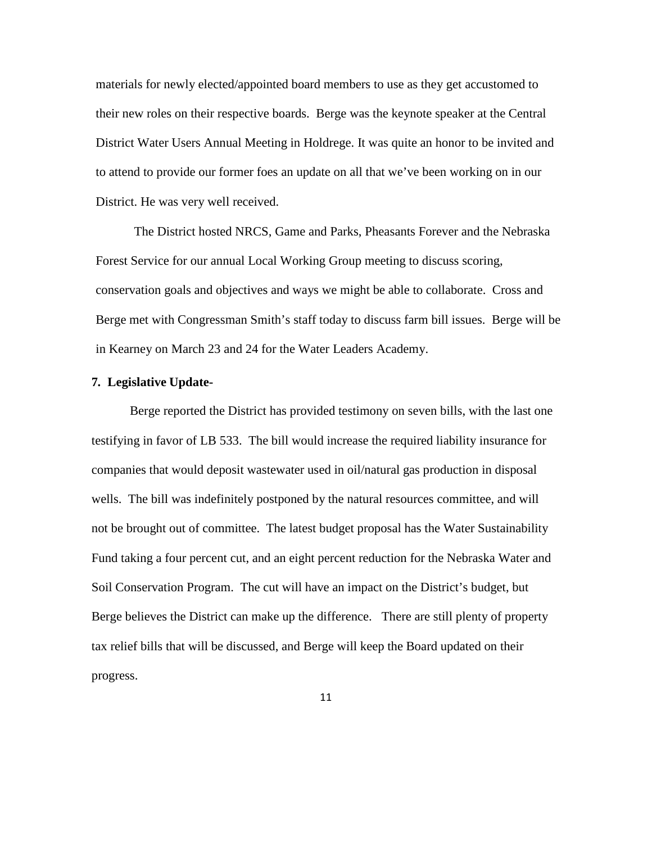materials for newly elected/appointed board members to use as they get accustomed to their new roles on their respective boards. Berge was the keynote speaker at the Central District Water Users Annual Meeting in Holdrege. It was quite an honor to be invited and to attend to provide our former foes an update on all that we've been working on in our District. He was very well received.

The District hosted NRCS, Game and Parks, Pheasants Forever and the Nebraska Forest Service for our annual Local Working Group meeting to discuss scoring, conservation goals and objectives and ways we might be able to collaborate. Cross and Berge met with Congressman Smith's staff today to discuss farm bill issues. Berge will be in Kearney on March 23 and 24 for the Water Leaders Academy.

### **7. Legislative Update-**

Berge reported the District has provided testimony on seven bills, with the last one testifying in favor of LB 533. The bill would increase the required liability insurance for companies that would deposit wastewater used in oil/natural gas production in disposal wells. The bill was indefinitely postponed by the natural resources committee, and will not be brought out of committee. The latest budget proposal has the Water Sustainability Fund taking a four percent cut, and an eight percent reduction for the Nebraska Water and Soil Conservation Program. The cut will have an impact on the District's budget, but Berge believes the District can make up the difference. There are still plenty of property tax relief bills that will be discussed, and Berge will keep the Board updated on their progress.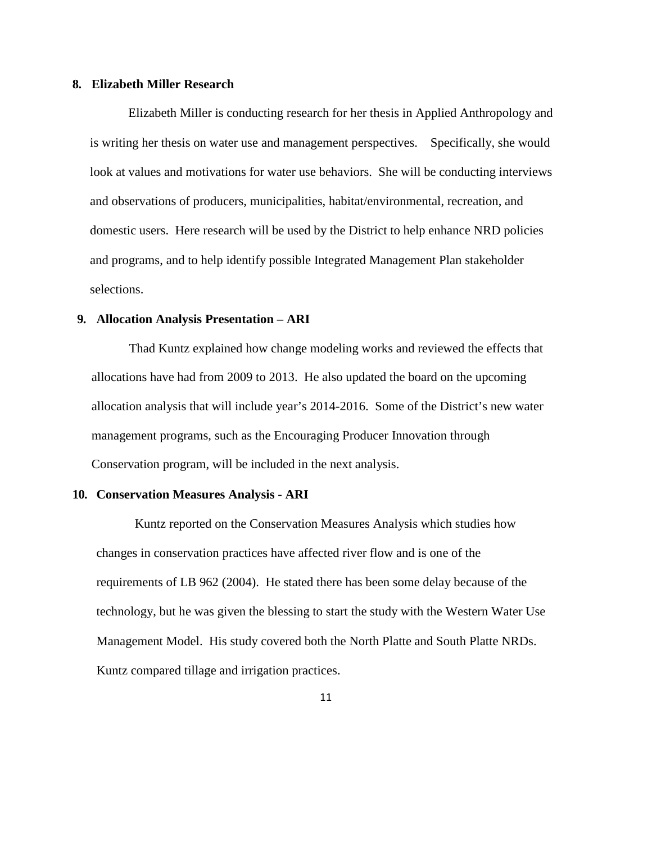### **8. Elizabeth Miller Research**

Elizabeth Miller is conducting research for her thesis in Applied Anthropology and is writing her thesis on water use and management perspectives. Specifically, she would look at values and motivations for water use behaviors. She will be conducting interviews and observations of producers, municipalities, habitat/environmental, recreation, and domestic users. Here research will be used by the District to help enhance NRD policies and programs, and to help identify possible Integrated Management Plan stakeholder selections.

# **9. Allocation Analysis Presentation – ARI**

Thad Kuntz explained how change modeling works and reviewed the effects that allocations have had from 2009 to 2013. He also updated the board on the upcoming allocation analysis that will include year's 2014-2016. Some of the District's new water management programs, such as the Encouraging Producer Innovation through Conservation program, will be included in the next analysis.

#### **10. Conservation Measures Analysis - ARI**

Kuntz reported on the Conservation Measures Analysis which studies how changes in conservation practices have affected river flow and is one of the requirements of LB 962 (2004). He stated there has been some delay because of the technology, but he was given the blessing to start the study with the Western Water Use Management Model. His study covered both the North Platte and South Platte NRDs. Kuntz compared tillage and irrigation practices.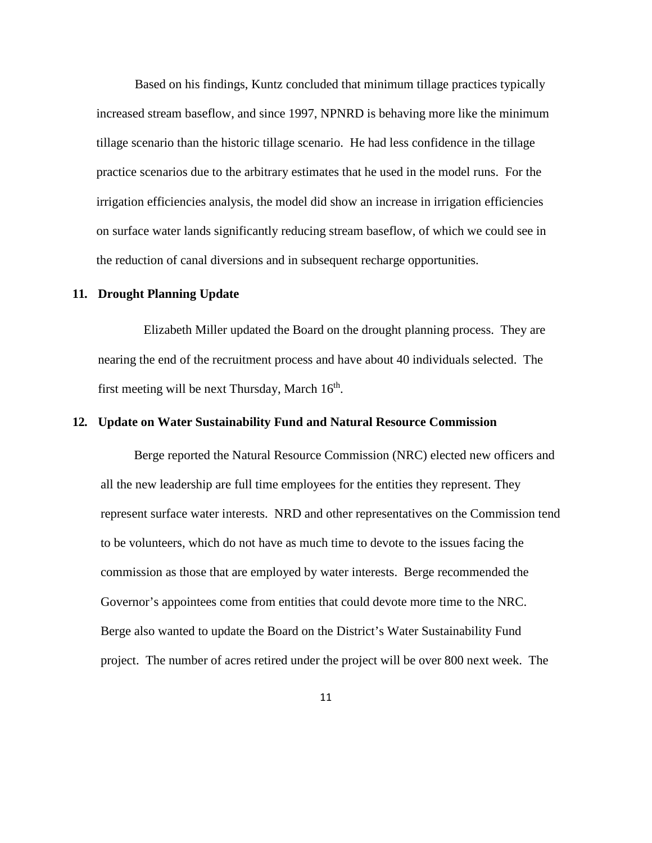Based on his findings, Kuntz concluded that minimum tillage practices typically increased stream baseflow, and since 1997, NPNRD is behaving more like the minimum tillage scenario than the historic tillage scenario. He had less confidence in the tillage practice scenarios due to the arbitrary estimates that he used in the model runs. For the irrigation efficiencies analysis, the model did show an increase in irrigation efficiencies on surface water lands significantly reducing stream baseflow, of which we could see in the reduction of canal diversions and in subsequent recharge opportunities.

### **11. Drought Planning Update**

Elizabeth Miller updated the Board on the drought planning process. They are nearing the end of the recruitment process and have about 40 individuals selected. The first meeting will be next Thursday, March  $16<sup>th</sup>$ .

### **12. Update on Water Sustainability Fund and Natural Resource Commission**

Berge reported the Natural Resource Commission (NRC) elected new officers and all the new leadership are full time employees for the entities they represent. They represent surface water interests. NRD and other representatives on the Commission tend to be volunteers, which do not have as much time to devote to the issues facing the commission as those that are employed by water interests. Berge recommended the Governor's appointees come from entities that could devote more time to the NRC. Berge also wanted to update the Board on the District's Water Sustainability Fund project. The number of acres retired under the project will be over 800 next week. The